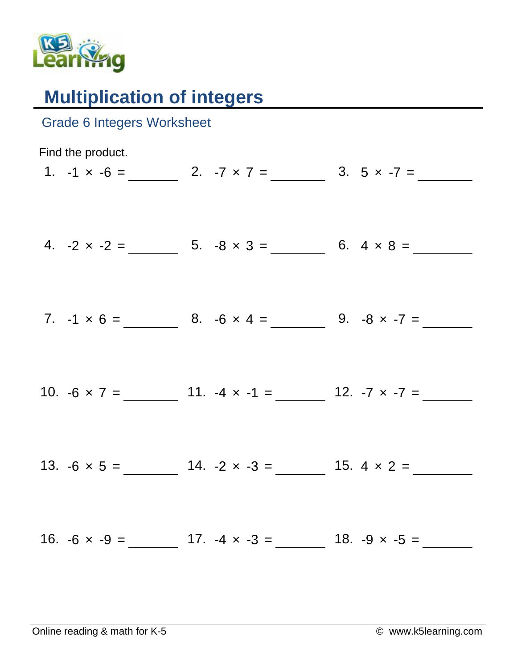

## **Multiplication of integers**

| <b>Grade 6 Integers Worksheet</b> |                                                                |
|-----------------------------------|----------------------------------------------------------------|
| Find the product.                 |                                                                |
|                                   | 1. $-1 \times -6 =$ 2. $-7 \times 7 =$ 3. $5 \times -7 =$      |
|                                   | 4. $-2 \times -2 =$ 5. $-8 \times 3 =$ 6. $4 \times 8 =$       |
|                                   | 7. $-1 \times 6 =$ 8. $-6 \times 4 =$ 9. $-8 \times -7 =$      |
|                                   | 10. $-6 \times 7 =$ 11. $-4 \times -1 =$ 12. $-7 \times -7 =$  |
|                                   |                                                                |
|                                   |                                                                |
|                                   | 16. $-6 \times -9 =$ 17. $-4 \times -3 =$ 18. $-9 \times -5 =$ |